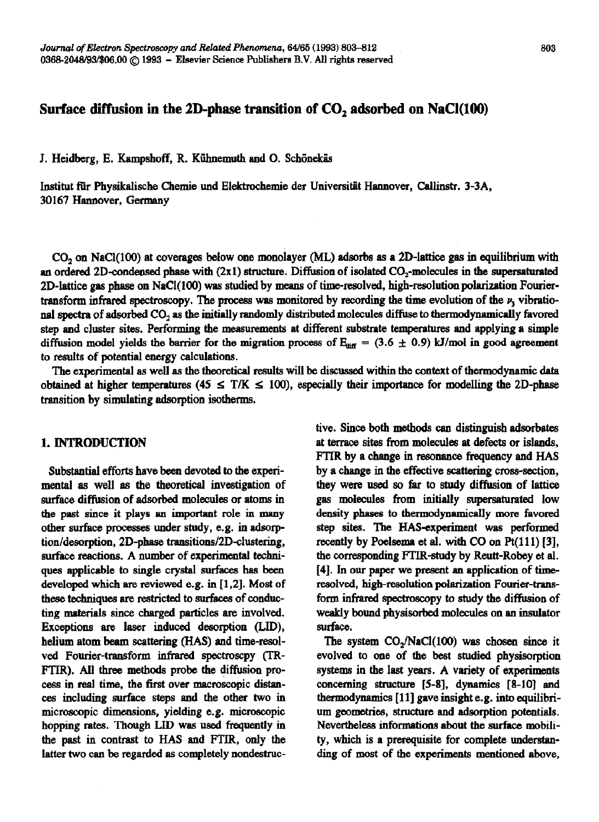# **Surface diffusion in the 2D-phase transition of CO, adsorbed on NaCl(100)**

J. Heidberg, E. Kampshoff, R. Kühnemuth and O. Schönekäs

Jnstitut fiir Physikalische Chemie und Elektrochemie der Universitiit Harmover, Callinstr. 3-3A, 30167 Hannover, Germany

CO<sub>2</sub> on NaCl(100) at coverages below one monolayer (ML) adsorbs as a 2D-lattice gas in equilibrium with an ordered 2D-condensed phase with (2x1) structure. Diffusion of isolated CO<sub>2</sub>-molecules in the supersaturated  $2D$ -lattice gas phase on NaCl(100) was studied by means of time-resolved, high-resolution polarization Fouriertransform infrared spectroscopy. The process was monitored by recording the time evolution of the  $\nu$ , vibrational spectra of adsorbed CO, as the initially randomly distributed molecules diffuse to thermodynamically favored step and cluster sites. Performing the measurements at different substrate temperatures and applying a simple diffusion model yields the barrier for the migration process of  $E_{diff} = (3.6 \pm 0.9)$  kJ/mol in good agreement to results of potential energy calculations.

The experimental as well as the theoretical results will be discussed within the context of thermodynamic data obtained at higher temperatures (45  $\leq$  T/K  $\leq$  100), especially their importance for modelling the 2D-phase transition by simulating adsorption isotherms.

## 1. INTRODUCTION

**Substantial** efforts have been devoted to the experimental as well as the theoretical investigation of surface diffusion of adsorbed molecules or atoms in the past since it plays an important role in many other surface processes under study, e.g. in adsorption/desorption, 2D-phase transitions/2D-clustering, surface reactions. A number of experimental techniques applicable to single crystal surfaces has been developed which are reviewed e.g. in [1,2]. Most of these techniques are restricted to surfaces of conducting materials since charged particles are involved. Exceptions are laser induced desorption (LID), helium atom beam scattering (HAS) and time-resolved Fourier-transform infmred spectroscpy (TR-FTJR). All three methods probe the diffusion process in real time, the first over macroscopic distances including surface steps and the other two in microscopic dimensions, yielding e.g. microscopic hopping rates. Though LID was used frequently in the past in contrast to HAS and FTJR, only the latter two can be regarded as completely nondestructive. Since both metbods can distinguish adsorbates at terrace sites from molecules at defects or islands, FTIR by a change in resonance frequency and HAS by a change in the effective scattering cross-section, they were used so far to study diffusion of lattice gas molecules from initially supersaturated low density phases to thermodynamically more favored step sites. The HAS-experiment was performed recently by Poelsema et al. with  $CO$  on  $Pt(111)$  [3], *the cormponding FTIR-study* by Reutt-Robey et al. [4]. In our paper we present an application of timeresolved, high-resolution polarization Fourier-transform infrared spectroscopy to study the diffusion of weakly bound physisorbed molecules on an insulator surface.

The system  $CO<sub>2</sub>/NaCl(100)$  was chosen since it evolved to one of the beat studied physisorption systems in the last years. A variety of experiments concerning structure [S-8], dynamics [a-10] and thermodyuamics [ 111 gave insight e.g. into equilibrium geometries, structure and adsorption potentials. Nevertheless informations about the surface mobility, which is a prerequisite for complete understanding of most of the experiments mentioned above,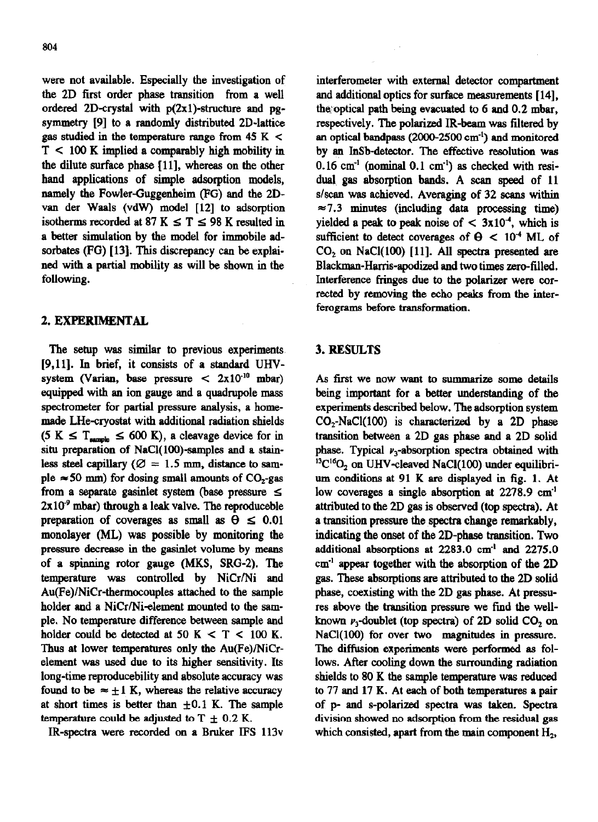were not available. Especially the investigation of the 2D first order phase transition from a well ordered 2D-crystal with  $p(2x1)$ -structure and pgsymmetry [9] to a randomly distributed 2D-lattice gas studied in the temperature range from  $45 K <$  $T < 100$  K implied a comparably high mobility in the dilute surface phase Ill], whereas on the other hand applications of simple adsorption models, namely the Fowler-Guggenheim (FG) and the 2Dvan der Waals (vdw) model [12] to adsorption isotherms recorded at 87 K  $\leq$  T  $\leq$  98 K resulted in a better simulation by the model for immobile adsorbates (FG) [13]. This discrepancy can be explained with a partial mobility as will be shown in the following.

## 2. EXPERIMENTAL

The setup was similar to previous experiments [9,11]. In brief, it consists of a standard UHVsystem (Varian, base pressure  $\langle 2 \times 10^{-10} \text{ mbar} \rangle$ equipped with an ion gauge and a quadrnpole mass spectrometer for partial pressure analysis, a homemade LHe-cryostat with additional radiation shields  $(5 K \leq T_{\text{sample}} \leq 600 K)$ , a cleavage device for in situ preparation of NaCl(100)-samples and a stainless steel capillary ( $\varnothing = 1.5$  mm, distance to sample  $\approx$  50 mm) for dosing small amounts of CO<sub>2</sub>-gas from a separate gasinlet system (base pressure  $\leq$  $2x10<sup>-9</sup>$  mbar) through a leak valve. The reproduceble preparation of coverages as small as  $\theta \leq 0.01$ monolayer (ML) was possible by monitoring the pressure decrease in the gasinlet volume by means of a spinning rotor gauge (MKS, SRG-2). The temperature was controlled by NiCr/Ni and Au(Fe)/NiCr-thermocouples attached to the sample holder and a NiCr/Ni-element mounted to the sample. No temperature difference between sample and holder could be detected at  $50 \text{ K} < T < 100 \text{ K}$ . Thus at lower temperatures only the Au(Fe)/NiCrelement was used due to its higher sensitivity. Its long-time reproducebility and absolute accuracy was found to be  $\approx \pm 1$  K, whereas the relative accuracy at short times is better than  $\pm 0.1$  K. The sample **temperature could be adjusted to T**  $\pm$  **0.2 K.** 

IR-spectra were recorded on a Bruker IFS 113v

interferometer with external detector compartment and additional optics for surface measurements [ 141, the optical path being evacuated to  $6$  and  $0.2$  mbar. respectively. The polarized IR-beam was filtered by an optical bandpass (2OOO-2500 cm-') and monitored by an InSb-detector. The effective resolution was  $0.16$  cm<sup>-1</sup> (nominal  $0.1$  cm<sup>-1</sup>) as checked with residual gas absorption bands. A scan speed of 11 s/scan was achieved. Averaging of 32 scans within  $\approx$  7.3 minutes (including data processing time) yielded a peak to peak noise of  $<$  3x10<sup>4</sup>, which is sufficient to detect coverages of  $\theta$  < 10<sup>4</sup> ML of  $CO<sub>2</sub>$  on NaCl(100) [11]. All spectra presented are Blackman-Harris-apodized and two times zero-filled. Interference fringes due to the polarizer were corrected by removing the echo peaks from the interferograms before transformation.

# 3. RESULTS

As first **we** now want to summarize some details being important for a better understanding of the experiments described below. The adsorption **system**   $CO<sub>2</sub>-NaCl(100)$  is characterized by a 2D phase transition between a 2D gas phase and a 2D solid phase. Typical  $\nu_3$ -absorption spectra obtained with  $^{13}C^{16}O_2$  on UHV-cleaved NaCl(100) under equilibrium conditions at 91 K are displayed in fig. 1. At low coverages a single absorption at 2278.9 cm' attributed to the 2D gas is observed (top spectra). At a transition pressure the spectra change remarkably, indicating the onset of the 2D-phase transition. Two additional absorptions at 2283.0 cm<sup>-1</sup> and 2275.0 cm-' appear together with the absorption of the 2D gas. These absorptions are attributed to the 2D solid phase, coexisting with the 2D gas phase. At pressures above the transition pressure we find the wellknown  $\nu_3$ -doublet (top spectra) of 2D solid CO<sub>2</sub> on NaCl(100) for over two magnitudes in pressure. The diffusion experiments were performed as follows. After cooling down the surrounding radiation shields to 80 K the sample temperature was reduced to 77 and 17 K. At each of both temperatures a pair of p- and s-polarized spectra was taken. Spectra division showed no adsorption from the residual gas which consisted, apart from the main component  $H_2$ ,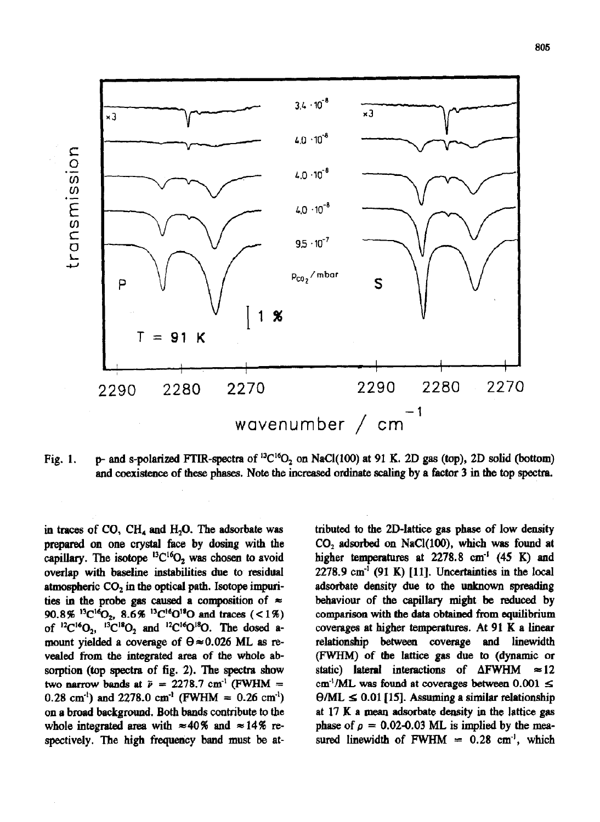

Fig. 1. p- and s-polarized FTIR-spectra of  ${}^{13}C^{16}O_2$  on NaCl(100) at 91 K. 2D gas (top), 2D solid (bottom) and coexistence of these phases. Note the increased ordinate scaling by a factor 3 in the top spectra.

prepared on one crystal face by dosing with the  $CO<sub>2</sub>$  adsorbed on NaCl(100), which was found at capillary. The isotope  ${}^{13}C_1{}^{6}O_2$  was chosen to avoid higher temperatures at 2278.8 cm<sup>-1</sup> (45 K) and overlap with baseline instabilities due to residual  $2278.9 \text{ cm}^{-1}$  (91 K) [11]. Uncertainties in the local atmospheric  $CO<sub>2</sub>$  in the optical path. Isotope impuri- adsorbate density due to the unknown spreading ties in the probe gas caused a composition of  $\approx$  behaviour of the capillary might be reduced by 90.8  $\frac{^{13}C^{16}O_2}{^{13}C^{16}O_2}$ , 8.6 % <sup>13</sup>C<sup>16</sup>O<sup>18</sup>O and traces (<1%) comparison with the data obtained from equilibrium of  ${}^{12}C^{16}O_2$ ,  ${}^{13}C^{18}O_2$  and  ${}^{12}C^{16}O^{18}O$ . The dosed a- coverages at higher temperatures. At 91 K a linear mount yielded a coverage of  $\theta \approx 0.026$  ML as re- relationship between coverage and linewidth vealed from the integrated area of the whole ab- (FWHM) of the lattice gas due to (dynamic or sorption (top spectra of fig. 2). The spectra show static) lateral interactions of  $\Delta FWHM \approx 12$ two narrow bands at  $\tilde{p} = 2278.7$  cm<sup>-1</sup> (FWHM = cm<sup>-1</sup>/ML was found at coverages between 0.001  $\leq$ 0.28 cm<sup>-1</sup>) and 2278.0 cm<sup>-1</sup> (FWHM = 0.26 cm<sup>-1</sup>)  $\Theta/ML \le 0.01$  [15]. Assuming a similar relationship on a broad background. Both bands contribute to the at 17 K a mean adsorbate density in the lattice gas whole integrated area with  $\approx 40\%$  and  $\approx 14\%$  re- phase of  $\rho = 0.02{\text -}0.03$  ML is implied by the measpectively. The high frequency band must be at-<br>sured linewidth of FWHM =  $0.28 \text{ cm}^{-1}$ , which

in traces of CO, CH<sub>4</sub> and H<sub>2</sub>O. The adsorbate was tributed to the 2D-lattice gas phase of low density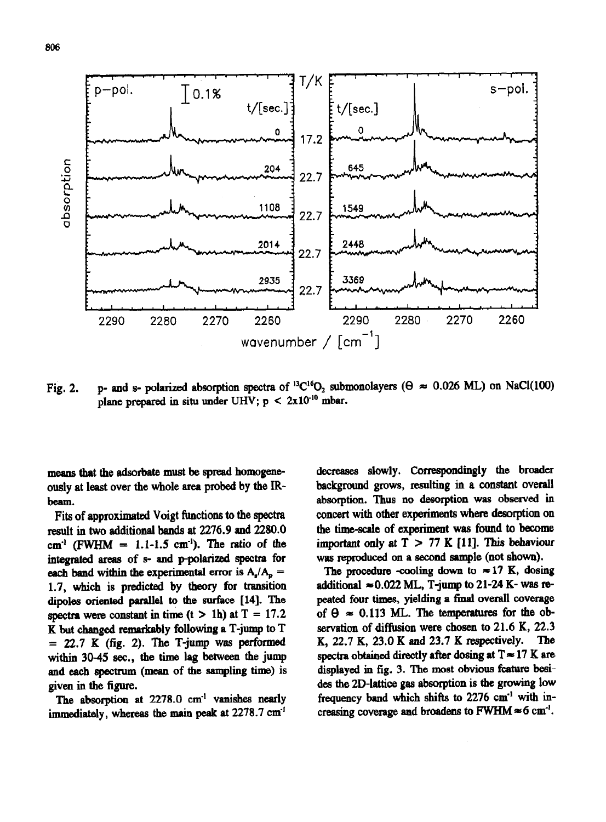

Fig. 2. p- and s- polarized absorption spectra of <sup>13</sup>C<sup>16</sup>O<sub>2</sub> submonolayers ( $\theta \approx 0.026$  ML) on NaCl(100) plane prepared in situ under UHV;  $p < 2x10^{-10}$  mbar.

means that the adsorbate must be spread homogeneously at least over the whole area probed by the IRbeam.

Fits of approximated Voigt functions to the spectra result in two additional bands at 2276.9 and 2280.0 cm<sup>-1</sup> (FWHM =  $1.1$ -1.5 cm<sup>-1</sup>). The ratio of the integrated areas of s- and p-polarized spectra for each band within the experimental error is  $A_n / A_n =$ 1.7, which is predicted by theory for transition dipoles oriented parallel to the surface [14]. The spectra were constant in time (t > 1h) at  $T = 17.2$ K but changed remarkably following a T-jump to T = 22.7 **K (fig.** 2). The T-jump was performed within 30-45 sec., the time lag between the jump and each spectnun (mean of the sampling time) is given in the figure.

The absorption at 2278.0 cm<sup>-1</sup> vanishes nearly immediately, whereas the main peak at 2278.7 cm<sup>-1</sup>

decreases slowly. correspondingly the broader background grows, resulting in a constant overall absorption. Thus no desorption was observed in concert with other experiments where desorption on the time-scale of **experiment was** found to become important only at  $T > 77$  K  $[11]$ . This behaviour was reproduced on a second sample (not shown).

The procedure -cooling down to  $\approx 17$  K, dosing additional  $\approx 0.022$  ML, T-jump to 21-24 K- was repeated four times, yielding a final overall coverage of  $\theta \approx 0.113$  ML. The temperatures for the observation of diffusion were chosen to 21.6 K, 22.3 K, 22.7 K, 23.0 K and 23.7 K respectively. The K, 22.7 K, 23.0 K and 23.7 K respectively. spectra obtained directly after dosing at  $T \approx 17$  K are displayed in fig. 3. The most obvious feature besides the 2D-lattice gas absorption is the growing low frequency band which shifts to 2276 cm" with increasing coverage and broadens to FWHM  $\approx$  6 cm<sup>-1</sup>.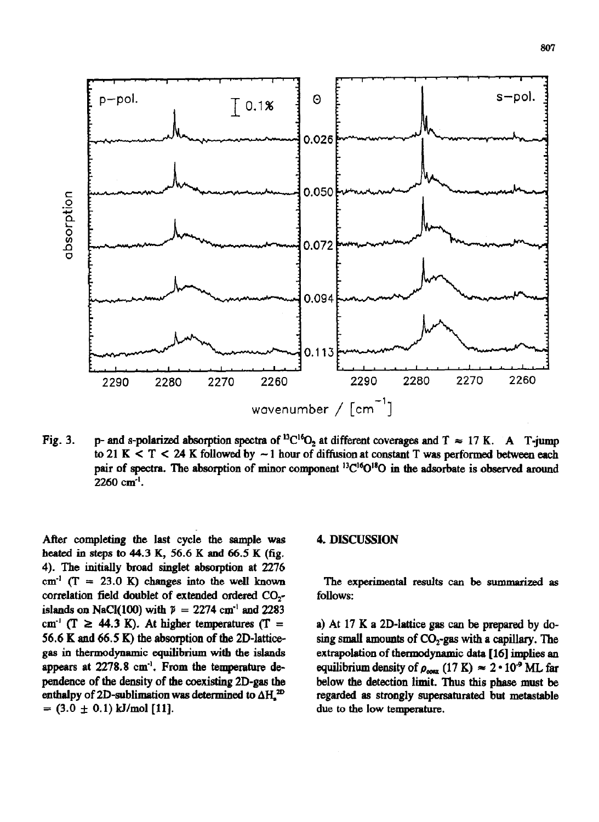

Fig. 3. p- and s-polarized absorption spectra of <sup>13</sup>C<sup>16</sup>O<sub>2</sub> at different coverages and T  $\approx$  17 K. A T-jump to 21 K **C T < 24 K followed by -** 1 hour of diffusion at constant **T was performed between each**  pair of spectra. The absorption of minor component <sup>13</sup>C<sup>16</sup>O<sup>18</sup>O in the adsorbate is observed around 2260 cm".

**After completing the last cycle the sample was heated in steps** to 44.3 K, 56.6 **K and** 66.5 K (fig. 4). The **initially broad singlet absorption at** 2276  $cm^{-1}$  (T = 23.0 K) changes into the well known correlation field doublet of extended ordered CO, islands on NaCl(100) with  $\tilde{p} = 2274$  cm<sup>-1</sup> and 2283 cm<sup>-1</sup> ( $T \ge 44.3$  K). At higher temperatures ( $T =$ 56.6 K and 66.5 K) the absorption of the **2D-latticegas in thermodynamic equilibrium with the islands appears at** 2278.8 cm". From the temperature depeudence **of the density of the coexisting 2D-gas the**  enthalpy of 2D-sublimation was determined to  $\Delta H<sub>a</sub>^{2D}$  $= (3.0 \pm 0.1) \text{ kJ/mol}$  [11].

#### **4. DISCUSSION**

**The** experimental results can be summarized as follows:

**a)** At **17** K a **2D-lattice gas can be prepared by dosing small amounts of CO,-gas with a capillary. The extrapolation of thermodynamic data [ 161 implies an**  equilibrium density of  $\rho_{\text{coex}}$  (17 K)  $\approx 2 \cdot 10^9$  ML far below the detection limit. Thus this phase must be **regarded as strongly supersaturated but metastable due to the low temperature.**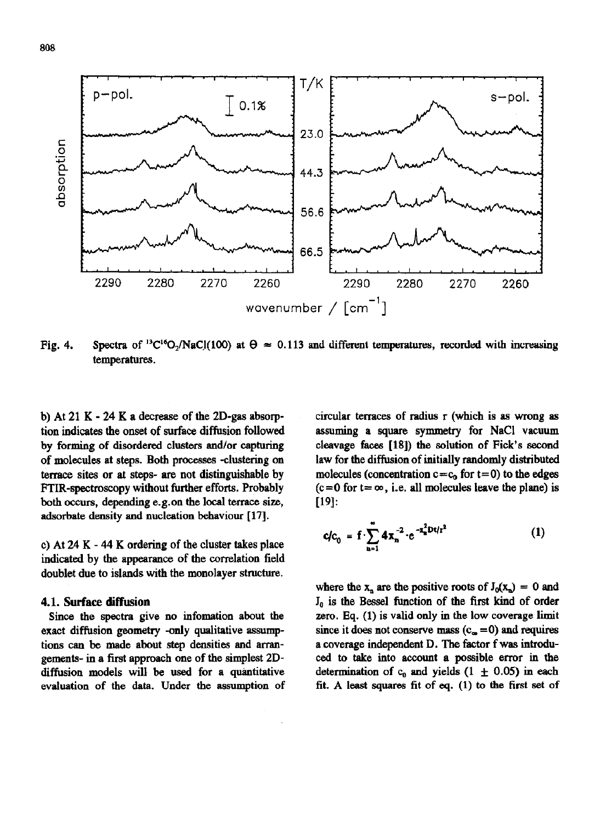

Fig. 4. Spectra of <sup>13</sup>C<sup>16</sup>O<sub>2</sub>/NaCl(100) at  $\theta \approx 0.113$  and different temperatures, recorded with increasing temperatures.

b) At 21 K - 24 K a decrease of the 2D-gas absorption indicates the onset of surface diffusion followed by forming of disordered clusters and/or capturing of molecules at steps. Both processes -clustering on terrace sites or at steps- are not distinguishable by FTIR-spectroscopy without further efforts. Probably both occurs, depending e.g.on the local terrace size, adsorbate density and nucleation behaviour [17].

c) At 24 K  $-$  44 K ordering of the cluster takes place indicated by the appearance of the correlation field doublet due to islands with the monolayer structure.

### 4.1. **Surface diffusion**

**Since the** spectra give no mfomation about the exact diffusion geometry -only qualitative assumptions can be made about step densities and arrangements- in a first approach one of the simplest 2Ddiffusion models wilJ be used for a quantitative evaluation of the data. Under the assumption of circular terraces of radius r (which is as wrong as assuming **a square** symmetry for NaCl vacuum cleavage faces [IS]) the solution of Fick's second law for the diffusion of initially randomly distributed molecules (concentration  $c = c_0$  for  $t = 0$ ) to the edges  $(c=0$  for  $t=\infty$ , i.e. all molecules leave the plane) is [19]:

$$
c/c_0 = f \cdot \sum_{n=1}^{\infty} 4x_n^{-2} \cdot e^{-x_n^2 Dt/r^2}
$$
 (1)

where the  $x_n$  are the positive roots of  $J_0(x_n) = 0$  and  $J_0$  is the Bessel function of the first kind of order zero, Eq. (1) is valid only in the low coverage limit since it does not conserve mass  $(c_{\infty} = 0)$  and requires a coverage independent D. The factor f was introduced to take into account a possible error in the determination of  $c_0$  and yields (1  $\pm$  0.05) in each fit. A least squares fit of eq. (1) to the first set of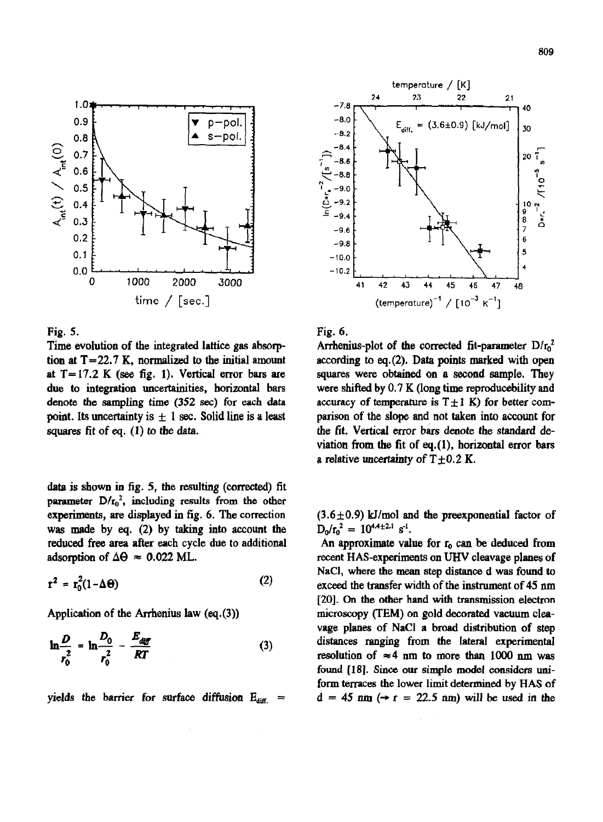

Fig. 5.

Time evolution of the integrated lattice gas absorption at  $T = 22.7$  K, normalized to the initial amount at  $T=17.2$  K (see fig. 1). Vertical error bars are due to integration uncertainities, horizontal bars denote the sampling time (352 sec) for each data point. Its uncertainty is  $\pm$  1 sec. Solid line is a least squares fit of eq.  $(1)$  to the data.

data is shown in fig. 5, the resulting (corrected) fit parameter  $D/r_0^2$ , including results from the other experiments, are displayed in fig. 6. The correction was made by eq.  $(2)$  by taking into account the reduced free area after each cycle due to additional adsorption of  $\Delta\Theta \approx 0.022$  ML.

$$
\mathbf{r}^2 = \mathbf{r}_0^2 (1 - \Delta \Theta) \tag{2}
$$

Application of the Arrhenius law  $(eq.(3))$ 

$$
\ln \frac{D}{r_0^2} = \ln \frac{D_0}{r_0^2} - \frac{E_{\text{diff}}}{RT}
$$
 (3)

yields the barrier for surface diffusion  $E_{diff}$  =



Fig. 6.

Arrhenius-plot of the corrected fit-parameter  $D/r<sub>0</sub>$ <sup>2</sup> according to eq. $(2)$ . Data points marked with open squares were obtained on a second sample. They were shifted by  $0.7 K$  (long time reproduce bility and accuracy of temperature is  $T \pm 1$  K) for better comparison of the slope and not taken into account for the fit. Vertical error bars denote the standard deviation from the fit of eq. $(1)$ , horizontal error bars a relative uncertainty of  $T+0.2$  K.

 $(3.6 \pm 0.9)$  kJ/mol and the preexponential factor of  $D_0/r_0^2 = 10^{4.4 \pm 2.1} s^{-1}.$ 

An approximate value for  $r_0$  can be deduced from recent HAS-experiments on UHV cleavage planes of NaCI, where the mean step distance d was found to exceed the transfer width of the instrument of 45 nm [20]. On the other hand with transmission electron microscopy (TEM) on gold decorated vacuum cleavage planes of NaCl a broad distribution of step distances ranging from the lateral experimental resolution of  $\approx 4$  nm to more than 1000 nm was found [18]. Since our simple model considers uniform terraces the lower limit determined by HAS of  $d = 45$  nm  $(\rightarrow r = 22.5$  nm) will be used in the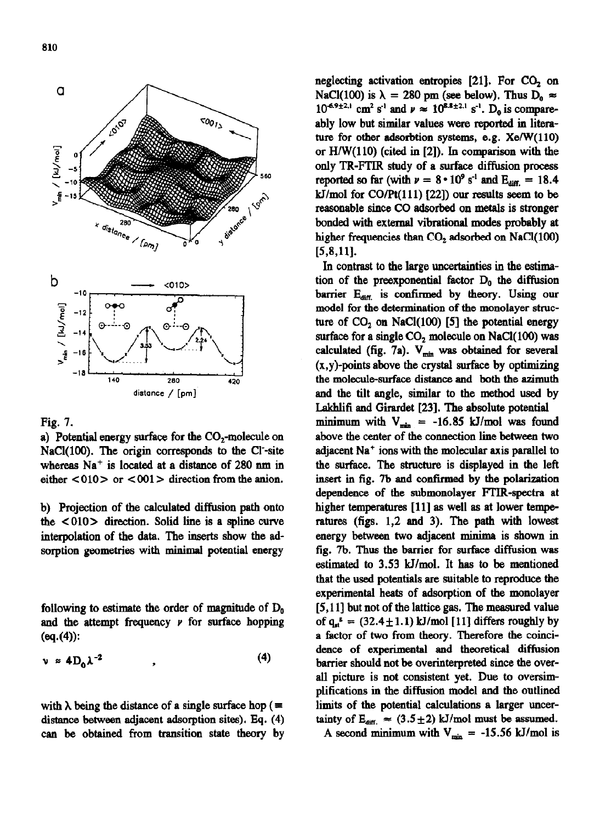

# Fig. 7.

a) Potential energy surface for the CO,-molecule on NaCl(100). The origin corresponds to the Cl-site whereas  $Na<sup>+</sup>$  is located at a distance of 280 nm in either  $\langle 010 \rangle$  or  $\langle 001 \rangle$  direction from the anion.

b) Projection of the calculated diffusion path onto the  $\langle 010 \rangle$  direction. Solid line is a spline curve interpolation of the data, The inserts show the adsorption geometries with minimal potential energy

following to estimate the order of magnitude of  $D_0$ and the attempt frequency  $\nu$  for surface hopping  $(eq.(4))$ :

$$
\nu \approx 4D_0 \lambda^{-2} \tag{4}
$$

with  $\lambda$  being the distance of a single surface hop (= distance between adjacent adsorption sites). Eq. (4) can be obtained from transition state theory by

neglecting activation entropies  $[21]$ . For  $CO<sub>2</sub>$  on NaCl(100) is  $\lambda = 280$  pm (see below). Thus  $D_0 \approx$  $10^{-6.9 \pm 2.1}$  cm<sup>2</sup> s<sup>-1</sup> and  $\nu \approx 10^{8.8 \pm 2.1}$  s<sup>-1</sup>. D<sub>0</sub> is compareably low but similar values were reported in literature for other adsorbtion systems, e.g.  $\text{Xe/W}(110)$ or HIW(110) (cited in [2]). In comparison with the only TR-FTIR study of a surface diffusion process reported so far (with  $\nu = 8 \cdot 10^9$  s<sup>-1</sup> and E<sub>diff</sub> = 18.4 kJ/mol for  $CO/Pt(111)$  [22]) our results seem to be reasonable since CO adsorbed on metals is stronger bonded with external vibrational modes probably at higher frequencies than  $CO<sub>2</sub>$  adsorbed on NaCl(100)  $[5,8,11]$ .

**In** contrast to the large uncertainties in the estimation of the preexponential factor  $D_0$  the diffusion barrier  $E_{\text{diff}}$  is confirmed by theory. Using our model for the determination of the monolayer structure of  $CO<sub>2</sub>$  on NaCl(100) [5] the potential energy surface for a single  $CO<sub>2</sub>$  molecule on NaCl(100) was calculated (fig. 7a).  $V_{min}$  was obtained for several  $(x,y)$ -points above the crystal surface by optimizing the molecule-surface distance and both the azimuth and the tilt angle, similar to the method used by Lakblifi and Girardet [23]. The absolute potential minimum with  $V_{min} = -16.85$  kJ/mol was found above the center of the connection line between two adjacent Na' ions with the molecular axis parallel to the surface. The structure is displayed in the left insert in fig. 7b and confirmed by the polarization dependence of the submonolayer FTIR-spectra at higher temperatures [11] as well as at lower temperatures (figs. 1,2 and 3). The path with lowest energy between two adjacent minima is shown in fig. 7b. Thus the barrier for surface diffusion was estimated to 3.53 kJ/mol. It has to be mentioned that the used potentials are suitable to reproduce the experimental heats of adsorption of the monolayer [5,11] but not of the lattice gas. The measured value of  $q_{st}^s = (32.4 \pm 1.1)$  kJ/mol [11] differs roughly by a factor of two from theory. Therefore the coincidence of experimental and theoretical diffusion barrier should not be overinterpreted since the overall picture is not consistent yet. Due to oversimplifications in the diffusion model and the outlined limits of the potential calculations a larger uncertainty of  $E_{diff.} \approx (3.5 \pm 2)$  kJ/mol must be assumed. A second minimum with  $V_{min} = -15.56 \text{ kJ/mol}$  is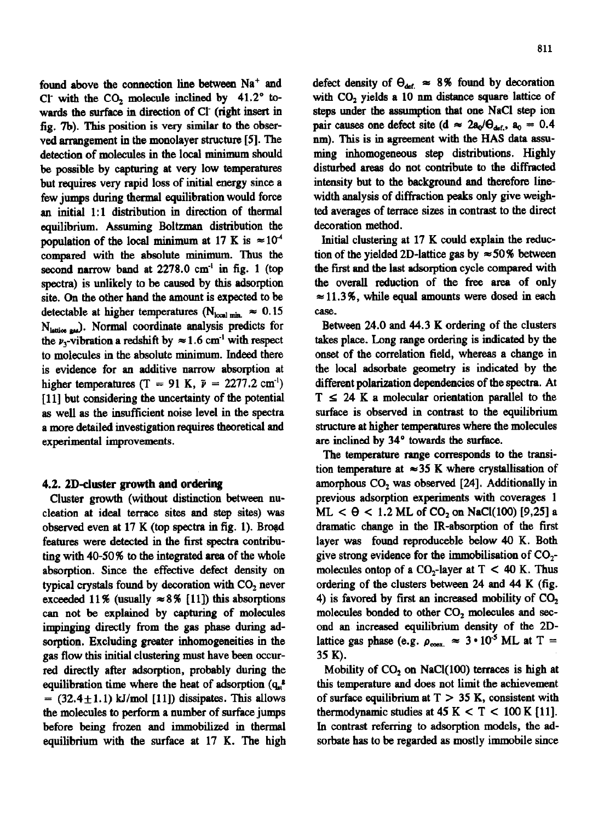found above the connection line between Na<sup>+</sup> and Cl with the  $CO<sub>2</sub>$  molecule inclined by  $41.2^{\circ}$  towards the surface in direction of Cl (right insert in fig. 7b). This position is very similar to the observed arrangement in the monolayer structure [5]. The detection of molecules in the local minimum should be possible by capturing at very low temperatures but requires very rapid loss of initial energy since a few jumps during thermal equilibration would force an initial 1:1 distribution in direction of thermal equilibrium. Assuming Boltzman distribution the population of the local minimum at 17 K is  $\approx 10^{-4}$ compared with the absolute minimum. Thus the second narrow band at 2278.0 cm<sup>-1</sup> in fig. 1 (top spectra) is unlikely to be caused by this adsorption site. On the other hand the amount is expected to be detectable at higher temperatures (N<sub>local min</sub>  $\approx 0.15$ N<sub>lattice</sub> est.). Normal coordinate analysis predicts for the  $\nu_3$ -vibration a redshift by  $\approx 1.6$  cm<sup>-1</sup> with respect to molecules in the absolute minimum. Indeed there is evidence for an additive narrow absorption at higher temperatures (T = 91 K,  $\tilde{\nu}$  = 2277.2 cm<sup>-1</sup>) [11] but considering the uncertainty of the potential as well as the insufficient noise level in the spectra a more detailed investigation requires theoretical and experimental improvements.

### 4.2. 2D-cluster growth and ordering

Cluster growth (without distinction between nucleation at ideal terrace sites and step sites) was observed even at 17 K (top spectra in fig. 1). Broad features were detected in the first spectra contributing with 40-50% to the integrated area of the whole absorption. Since the effective defect density on typical crystals found by decoration with CO<sub>2</sub> never exceeded 11% (usually  $\approx 8\%$  [11]) this absorptions can not be explained by capturing of molecules impinging directly from the gas phase during adsorption. Excluding greater inhomogeneities in the gas flow this initial clustering must have been occurred directly after adsorption, probably during the equilibration time where the heat of adsorption  $(q_a^{\mu})$  $=$  (32.4 $\pm$ 1.1) kJ/mol [11]) dissipates. This allows the molecules to perform a number of surface jumps before being frozen and immobilized in thermal equilibrium with the surface at 17 K. The high defect density of  $\Theta_{\text{def.}} \approx 8\%$  found by decoration with CO<sub>2</sub> yields a 10 nm distance square lattice of steps under the assumption that one NaCl step ion pair causes one defect site (d  $\approx 2a_0/\theta_{def}$ ,  $a_0 = 0.4$ nm). This is in agreement with the HAS data assuming inhomogeneous step distributions. Highly disturbed areas do not contribute to the diffracted intensity but to the background and therefore linewidth analysis of diffraction peaks only give weighted averages of terrace sizes in contrast to the direct decoration method.

Initial clustering at 17 K could explain the reduction of the yielded 2D-lattice gas by  $\approx$  50% between the first and the last adsorption cycle compared with the overall reduction of the free area of only  $\approx$  11.3%, while equal amounts were dosed in each case.

Between 24.0 and 44.3 K ordering of the clusters takes place. Long range ordering is indicated by the onset of the correlation field, whereas a change in the local adsorbate geometry is indicated by the different polarization dependencies of the spectra. At  $T \leq 24$  K a molecular orientation parallel to the surface is observed in contrast to the equilibrium structure at higher temperatures where the molecules are inclined by 34° towards the surface.

The temperature range corresponds to the transition temperature at  $\approx 35$  K where crystallisation of amorphous CO<sub>2</sub> was observed [24]. Additionally in previous adsorption experiments with coverages 1 ML  $< \theta < 1.2$  ML of CO<sub>2</sub> on NaCl(100) [9,25] a dramatic change in the IR-absorption of the first layer was found reproduceble below 40 K. Both give strong evidence for the immobilisation of  $CO<sub>2</sub>$ . molecules ontop of a  $CO_2$ -layer at T < 40 K. Thus ordering of the clusters between 24 and 44 K (fig. 4) is favored by first an increased mobility of  $CO<sub>2</sub>$ molecules bonded to other CO<sub>2</sub> molecules and second an increased equilibrium density of the 2Dlattice gas phase (e.g.  $\rho_{\text{coex.}} \approx 3 \cdot 10^{-5} \text{ ML at T} =$ 35 K).

Mobility of  $CO<sub>2</sub>$  on NaCl(100) terraces is high at this temperature and does not limit the achievement of surface equilibrium at  $T > 35$  K, consistent with thermodynamic studies at  $45 K < T < 100 K [11]$ . In contrast referring to adsorption models, the adsorbate has to be regarded as mostly immobile since